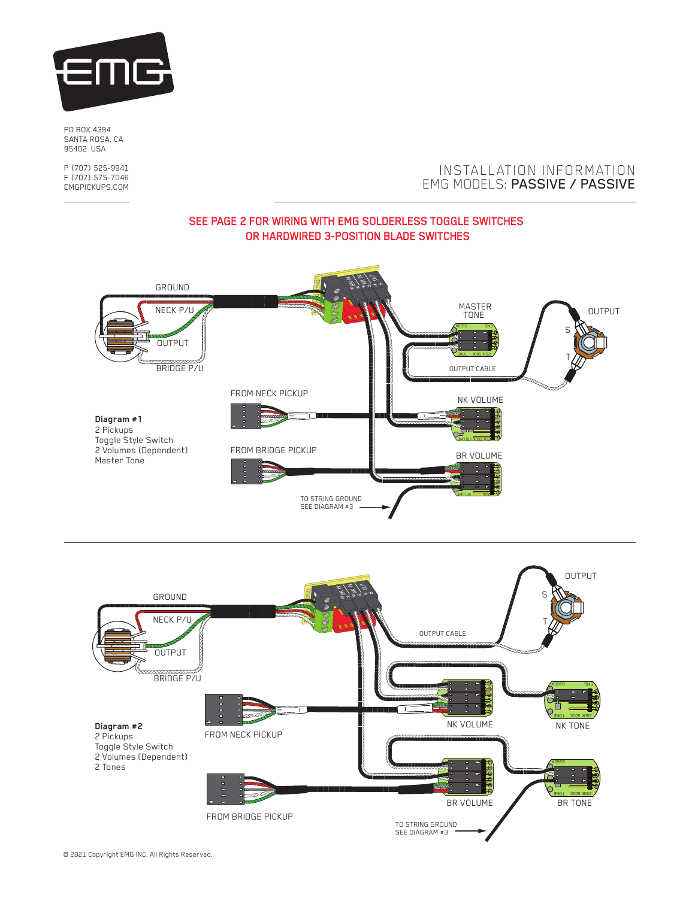

PO BOX 4394 SANTA ROSA, CA 95402 USA

P (707) 525-9941 F (707) 575-7046 EMGPICKUPS.COM

## INSTALLATION INFORMATION EMG MODELS: PASSIVE / PASSIVE